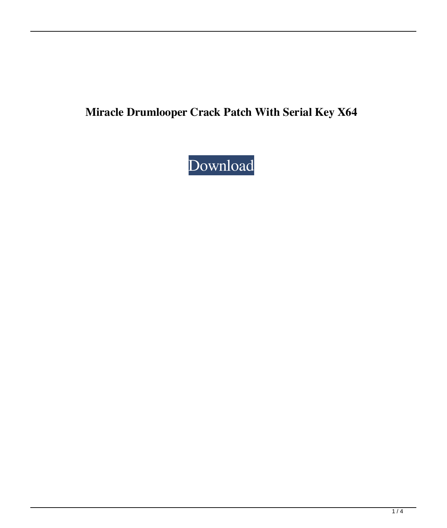# **Miracle Drumlooper Crack Patch With Serial Key X64**

# [Download](http://evacdir.com/ZG93bmxvYWR8VnE5Wm5abGZId3hOalUyTURJeE1qQTJmSHd5TlRrd2ZId29UU2tnVjI5eVpIQnlaWE56SUZ0WVRVeFNVRU1nVmpJZ1VFUkdYUQ/hypnagogic.compaction/jenas/hussey.TWlyYWNsZSBEcnVtbG9vcGVyTWl/)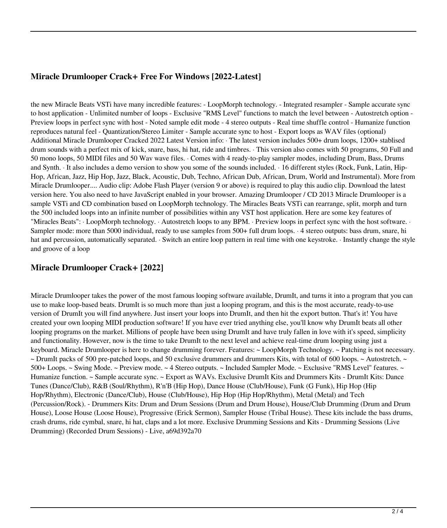#### **Miracle Drumlooper Crack+ Free For Windows [2022-Latest]**

the new Miracle Beats VSTi have many incredible features: - LoopMorph technology. - Integrated resampler - Sample accurate sync to host application - Unlimited number of loops - Exclusive "RMS Level" functions to match the level between - Autostretch option - Preview loops in perfect sync with host - Noted sample edit mode - 4 stereo outputs - Real time shuffle control - Humanize function reproduces natural feel - Quantization/Stereo Limiter - Sample accurate sync to host - Export loops as WAV files (optional) Additional Miracle Drumlooper Cracked 2022 Latest Version info: · The latest version includes 500+ drum loops, 1200+ stablised drum sounds with a perfect mix of kick, snare, bass, hi hat, ride and timbres. · This version also comes with 50 programs, 50 Full and 50 mono loops, 50 MIDI files and 50 Wav wave files. · Comes with 4 ready-to-play sampler modes, including Drum, Bass, Drums and Synth. · It also includes a demo version to show you some of the sounds included. · 16 different styles (Rock, Funk, Latin, Hip-Hop, African, Jazz, Hip Hop, Jazz, Black, Acoustic, Dub, Techno, African Dub, African, Drum, World and Instrumental). More from Miracle Drumlooper.... Audio clip: Adobe Flash Player (version 9 or above) is required to play this audio clip. Download the latest version here. You also need to have JavaScript enabled in your browser. Amazing Drumlooper / CD 2013 Miracle Drumlooper is a sample VSTi and CD combination based on LoopMorph technology. The Miracles Beats VSTi can rearrange, split, morph and turn the 500 included loops into an infinite number of possibilities within any VST host application. Here are some key features of "Miracles Beats": · LoopMorph technology. · Autostretch loops to any BPM. · Preview loops in perfect sync with the host software. · Sampler mode: more than 5000 individual, ready to use samples from 500+ full drum loops. · 4 stereo outputs: bass drum, snare, hi hat and percussion, automatically separated. · Switch an entire loop pattern in real time with one keystroke. · Instantly change the style and groove of a loop

#### **Miracle Drumlooper Crack+ [2022]**

Miracle Drumlooper takes the power of the most famous looping software available, DrumIt, and turns it into a program that you can use to make loop-based beats. DrumIt is so much more than just a looping program, and this is the most accurate, ready-to-use version of DrumIt you will find anywhere. Just insert your loops into DrumIt, and then hit the export button. That's it! You have created your own looping MIDI production software! If you have ever tried anything else, you'll know why DrumIt beats all other looping programs on the market. Millions of people have been using DrumIt and have truly fallen in love with it's speed, simplicity and functionality. However, now is the time to take DrumIt to the next level and achieve real-time drum looping using just a keyboard. Miracle Drumlooper is here to change drumming forever. Features: ~ LoopMorph Technology. ~ Patching is not necessary.  $\sim$  DrumIt packs of 500 pre-patched loops, and 50 exclusive drummers and drummers Kits, with total of 600 loops.  $\sim$  Autostretch.  $\sim$ 500+ Loops. ~ Swing Mode. ~ Preview mode. ~ 4 Stereo outputs. ~ Included Sampler Mode. ~ Exclusive "RMS Level" features. ~ Humanize function. ~ Sample accurate sync. ~ Export as WAVs. Exclusive DrumIt Kits and Drummers Kits - DrumIt Kits: Dance Tunes (Dance/Club), R&B (Soul/Rhythm), R'n'B (Hip Hop), Dance House (Club/House), Funk (G Funk), Hip Hop (Hip Hop/Rhythm), Electronic (Dance/Club), House (Club/House), Hip Hop (Hip Hop/Rhythm), Metal (Metal) and Tech (Percussion/Rock). - Drummers Kits: Drum and Drum Sessions (Drum and Drum House), House/Club Drumming (Drum and Drum House), Loose House (Loose House), Progressive (Erick Sermon), Sampler House (Tribal House). These kits include the bass drums, crash drums, ride cymbal, snare, hi hat, claps and a lot more. Exclusive Drumming Sessions and Kits - Drumming Sessions (Live Drumming) (Recorded Drum Sessions) - Live, a69d392a70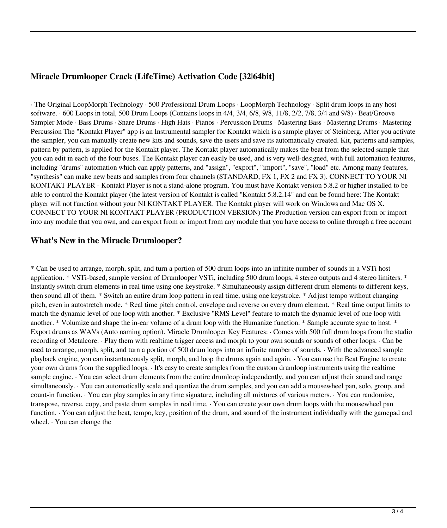# **Miracle Drumlooper Crack (LifeTime) Activation Code [32|64bit]**

· The Original LoopMorph Technology · 500 Professional Drum Loops · LoopMorph Technology · Split drum loops in any host software. · 600 Loops in total, 500 Drum Loops (Contains loops in 4/4, 3/4, 6/8, 9/8, 11/8, 2/2, 7/8, 3/4 and 9/8) · Beat/Groove Sampler Mode · Bass Drums · Snare Drums · High Hats · Pianos · Percussion Drums · Mastering Bass · Mastering Drums · Mastering Percussion The "Kontakt Player" app is an Instrumental sampler for Kontakt which is a sample player of Steinberg. After you activate the sampler, you can manually create new kits and sounds, save the users and save its automatically created. Kit, patterns and samples, pattern by pattern, is applied for the Kontakt player. The Kontakt player automatically makes the beat from the selected sample that you can edit in each of the four buses. The Kontakt player can easily be used, and is very well-designed, with full automation features, including "drums" automation which can apply patterns, and "assign", "export", "import", "save", "load" etc. Among many features, "synthesis" can make new beats and samples from four channels (STANDARD, FX 1, FX 2 and FX 3). CONNECT TO YOUR NI KONTAKT PLAYER - Kontakt Player is not a stand-alone program. You must have Kontakt version 5.8.2 or higher installed to be able to control the Kontakt player (the latest version of Kontakt is called "Kontakt 5.8.2.14" and can be found here: The Kontakt player will not function without your NI KONTAKT PLAYER. The Kontakt player will work on Windows and Mac OS X. CONNECT TO YOUR NI KONTAKT PLAYER (PRODUCTION VERSION) The Production version can export from or import into any module that you own, and can export from or import from any module that you have access to online through a free account

### **What's New in the Miracle Drumlooper?**

\* Can be used to arrange, morph, split, and turn a portion of 500 drum loops into an infinite number of sounds in a VSTi host application. \* VSTi-based, sample version of Drumlooper VSTi, including 500 drum loops, 4 stereo outputs and 4 stereo limiters. \* Instantly switch drum elements in real time using one keystroke. \* Simultaneously assign different drum elements to different keys, then sound all of them. \* Switch an entire drum loop pattern in real time, using one keystroke. \* Adjust tempo without changing pitch, even in autostretch mode. \* Real time pitch control, envelope and reverse on every drum element. \* Real time output limits to match the dynamic level of one loop with another. \* Exclusive "RMS Level" feature to match the dynamic level of one loop with another. \* Volumize and shape the in-ear volume of a drum loop with the Humanize function. \* Sample accurate sync to host. \* Export drums as WAVs (Auto naming option). Miracle Drumlooper Key Features: · Comes with 500 full drum loops from the studio recording of Metalcore. · Play them with realtime trigger access and morph to your own sounds or sounds of other loops. · Can be used to arrange, morph, split, and turn a portion of 500 drum loops into an infinite number of sounds. · With the advanced sample playback engine, you can instantaneously split, morph, and loop the drums again and again. · You can use the Beat Engine to create your own drums from the supplied loops. · It's easy to create samples from the custom drumloop instruments using the realtime sample engine. · You can select drum elements from the entire drumloop independently, and you can adjust their sound and range simultaneously. · You can automatically scale and quantize the drum samples, and you can add a mousewheel pan, solo, group, and count-in function. · You can play samples in any time signature, including all mixtures of various meters. · You can randomize, transpose, reverse, copy, and paste drum samples in real time. · You can create your own drum loops with the mousewheel pan function. · You can adjust the beat, tempo, key, position of the drum, and sound of the instrument individually with the gamepad and wheel. · You can change the